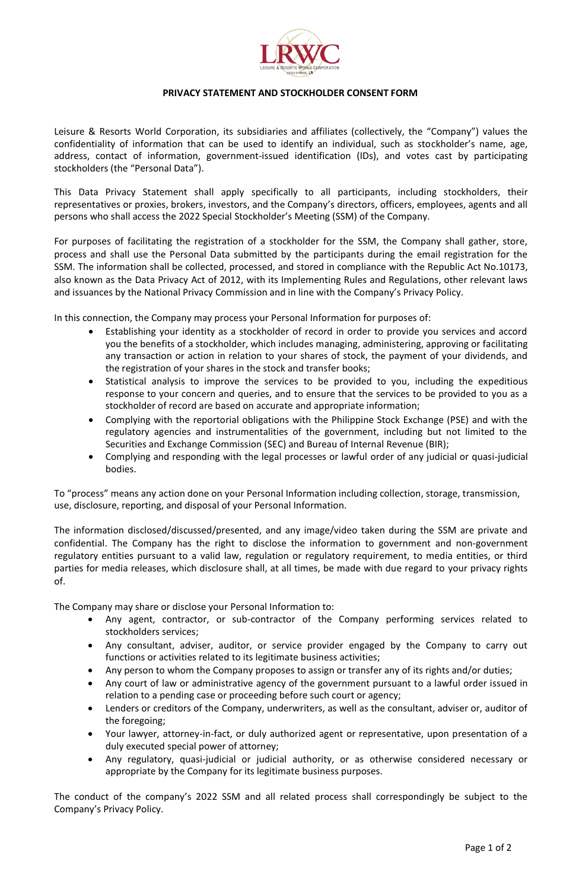

## **PRIVACY STATEMENT AND STOCKHOLDER CONSENT FORM**

Leisure & Resorts World Corporation, its subsidiaries and affiliates (collectively, the "Company") values the confidentiality of information that can be used to identify an individual, such as stockholder's name, age, address, contact of information, government-issued identification (IDs), and votes cast by participating stockholders (the "Personal Data").

This Data Privacy Statement shall apply specifically to all participants, including stockholders, their representatives or proxies, brokers, investors, and the Company's directors, officers, employees, agents and all persons who shall access the 2022 Special Stockholder's Meeting (SSM) of the Company.

For purposes of facilitating the registration of a stockholder for the SSM, the Company shall gather, store, process and shall use the Personal Data submitted by the participants during the email registration for the SSM. The information shall be collected, processed, and stored in compliance with the Republic Act No.10173, also known as the Data Privacy Act of 2012, with its Implementing Rules and Regulations, other relevant laws and issuances by the National Privacy Commission and in line with the Company's Privacy Policy.

In this connection, the Company may process your Personal Information for purposes of:

- Establishing your identity as a stockholder of record in order to provide you services and accord you the benefits of a stockholder, which includes managing, administering, approving or facilitating any transaction or action in relation to your shares of stock, the payment of your dividends, and the registration of your shares in the stock and transfer books;
- Statistical analysis to improve the services to be provided to you, including the expeditious response to your concern and queries, and to ensure that the services to be provided to you as a stockholder of record are based on accurate and appropriate information;
- Complying with the reportorial obligations with the Philippine Stock Exchange (PSE) and with the regulatory agencies and instrumentalities of the government, including but not limited to the Securities and Exchange Commission (SEC) and Bureau of Internal Revenue (BIR);
- Complying and responding with the legal processes or lawful order of any judicial or quasi-judicial bodies.

To "process" means any action done on your Personal Information including collection, storage, transmission, use, disclosure, reporting, and disposal of your Personal Information.

The information disclosed/discussed/presented, and any image/video taken during the SSM are private and confidential. The Company has the right to disclose the information to government and non-government regulatory entities pursuant to a valid law, regulation or regulatory requirement, to media entities, or third parties for media releases, which disclosure shall, at all times, be made with due regard to your privacy rights of.

The Company may share or disclose your Personal Information to:

- Any agent, contractor, or sub-contractor of the Company performing services related to stockholders services;
- Any consultant, adviser, auditor, or service provider engaged by the Company to carry out functions or activities related to its legitimate business activities;
- Any person to whom the Company proposes to assign or transfer any of its rights and/or duties;
- Any court of law or administrative agency of the government pursuant to a lawful order issued in relation to a pending case or proceeding before such court or agency;
- Lenders or creditors of the Company, underwriters, as well as the consultant, adviser or, auditor of the foregoing;
- Your lawyer, attorney-in-fact, or duly authorized agent or representative, upon presentation of a duly executed special power of attorney;
- Any regulatory, quasi-judicial or judicial authority, or as otherwise considered necessary or appropriate by the Company for its legitimate business purposes.

The conduct of the company's 2022 SSM and all related process shall correspondingly be subject to the Company's Privacy Policy.